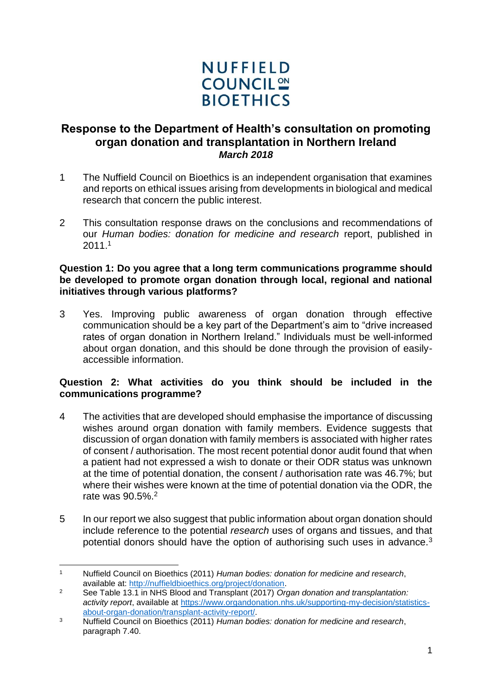

# **Response to the Department of Health's consultation on promoting organ donation and transplantation in Northern Ireland** *March 2018*

- 1 The Nuffield Council on Bioethics is an independent organisation that examines and reports on ethical issues arising from developments in biological and medical research that concern the public interest.
- 2 This consultation response draws on the conclusions and recommendations of our *Human bodies: donation for medicine and research* report, published in 2011.<sup>1</sup>

#### **Question 1: Do you agree that a long term communications programme should be developed to promote organ donation through local, regional and national initiatives through various platforms?**

3 Yes. Improving public awareness of organ donation through effective communication should be a key part of the Department's aim to "drive increased rates of organ donation in Northern Ireland." Individuals must be well-informed about organ donation, and this should be done through the provision of easilyaccessible information.

## **Question 2: What activities do you think should be included in the communications programme?**

- 4 The activities that are developed should emphasise the importance of discussing wishes around organ donation with family members. Evidence suggests that discussion of organ donation with family members is associated with higher rates of consent / authorisation. The most recent potential donor audit found that when a patient had not expressed a wish to donate or their ODR status was unknown at the time of potential donation, the consent / authorisation rate was 46.7%; but where their wishes were known at the time of potential donation via the ODR, the rate was 90.5%.<sup>2</sup>
- 5 In our report we also suggest that public information about organ donation should include reference to the potential *research* uses of organs and tissues, and that potential donors should have the option of authorising such uses in advance.<sup>3</sup>

<sup>-</sup><sup>1</sup> Nuffield Council on Bioethics (2011) *Human bodies: donation for medicine and research*, available at: [http://nuffieldbioethics.org/project/donation.](http://nuffieldbioethics.org/project/donation)

<sup>2</sup> See Table 13.1 in NHS Blood and Transplant (2017) *Organ donation and transplantation: activity report*, available at [https://www.organdonation.nhs.uk/supporting-my-decision/statistics](https://www.organdonation.nhs.uk/supporting-my-decision/statistics-about-organ-donation/transplant-activity-report/)[about-organ-donation/transplant-activity-report/.](https://www.organdonation.nhs.uk/supporting-my-decision/statistics-about-organ-donation/transplant-activity-report/)

<sup>3</sup> Nuffield Council on Bioethics (2011) *Human bodies: donation for medicine and research*, paragraph 7.40.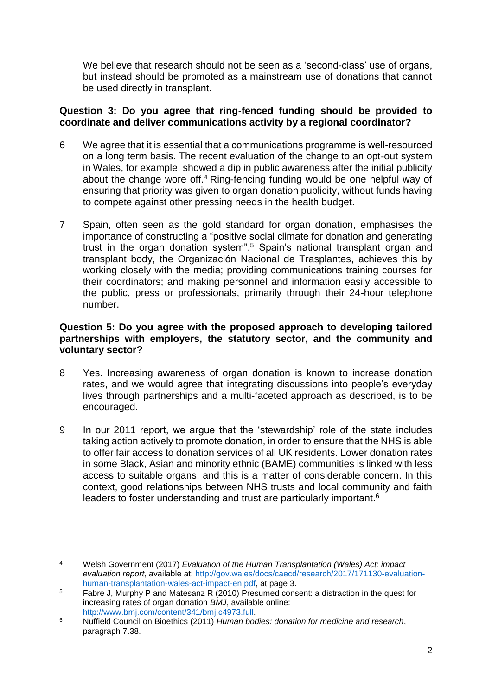We believe that research should not be seen as a 'second-class' use of organs, but instead should be promoted as a mainstream use of donations that cannot be used directly in transplant.

## **Question 3: Do you agree that ring-fenced funding should be provided to coordinate and deliver communications activity by a regional coordinator?**

- 6 We agree that it is essential that a communications programme is well-resourced on a long term basis. The recent evaluation of the change to an opt-out system in Wales, for example, showed a dip in public awareness after the initial publicity about the change wore off.<sup>4</sup> Ring-fencing funding would be one helpful way of ensuring that priority was given to organ donation publicity, without funds having to compete against other pressing needs in the health budget.
- 7 Spain, often seen as the gold standard for organ donation, emphasises the importance of constructing a "positive social climate for donation and generating trust in the organ donation system".<sup>5</sup> Spain's national transplant organ and transplant body, the Organización Nacional de Trasplantes, achieves this by working closely with the media; providing communications training courses for their coordinators; and making personnel and information easily accessible to the public, press or professionals, primarily through their 24-hour telephone number.

## **Question 5: Do you agree with the proposed approach to developing tailored partnerships with employers, the statutory sector, and the community and voluntary sector?**

- 8 Yes. Increasing awareness of organ donation is known to increase donation rates, and we would agree that integrating discussions into people's everyday lives through partnerships and a multi-faceted approach as described, is to be encouraged.
- 9 In our 2011 report, we argue that the 'stewardship' role of the state includes taking action actively to promote donation, in order to ensure that the NHS is able to offer fair access to donation services of all UK residents. Lower donation rates in some Black, Asian and minority ethnic (BAME) communities is linked with less access to suitable organs, and this is a matter of considerable concern. In this context, good relationships between NHS trusts and local community and faith leaders to foster understanding and trust are particularly important.<sup>6</sup>

<sup>-</sup><sup>4</sup> Welsh Government (2017) *Evaluation of the Human Transplantation (Wales) Act: impact evaluation report*, available at: [http://gov.wales/docs/caecd/research/2017/171130-evaluation](http://gov.wales/docs/caecd/research/2017/171130-evaluation-human-transplantation-wales-act-impact-en.pdf)[human-transplantation-wales-act-impact-en.pdf,](http://gov.wales/docs/caecd/research/2017/171130-evaluation-human-transplantation-wales-act-impact-en.pdf) at page 3.

<sup>&</sup>lt;sup>5</sup> Fabre J, Murphy P and Matesanz R (2010) Presumed consent: a distraction in the quest for increasing rates of organ donation *BMJ*, available online: [http://www.bmj.com/content/341/bmj.c4973.full.](http://www.bmj.com/content/341/bmj.c4973.full)

<sup>6</sup> Nuffield Council on Bioethics (2011) *Human bodies: donation for medicine and research*, paragraph 7.38.